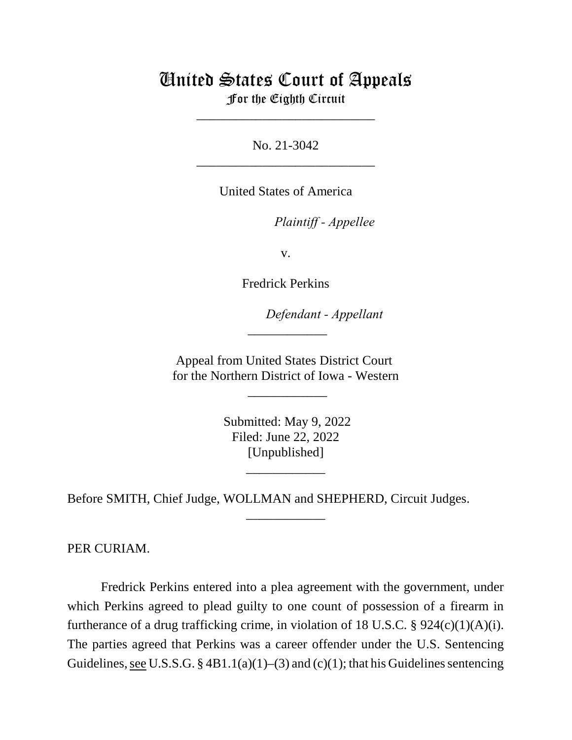## United States Court of Appeals For the Eighth Circuit

\_\_\_\_\_\_\_\_\_\_\_\_\_\_\_\_\_\_\_\_\_\_\_\_\_\_\_

No. 21-3042 \_\_\_\_\_\_\_\_\_\_\_\_\_\_\_\_\_\_\_\_\_\_\_\_\_\_\_

United States of America

*Plaintiff - Appellee* 

v.

Fredrick Perkins

lllllllllllllllllllll*Defendant - Appellant*

Appeal from United States District Court for the Northern District of Iowa - Western

 $\overline{\phantom{a}}$ 

\_\_\_\_\_\_\_\_\_\_\_\_

 Submitted: May 9, 2022 Filed: June 22, 2022 [Unpublished]

\_\_\_\_\_\_\_\_\_\_\_\_

\_\_\_\_\_\_\_\_\_\_\_\_

Before SMITH, Chief Judge, WOLLMAN and SHEPHERD, Circuit Judges.

PER CURIAM.

Fredrick Perkins entered into a plea agreement with the government, under which Perkins agreed to plead guilty to one count of possession of a firearm in furtherance of a drug trafficking crime, in violation of 18 U.S.C.  $\S$  924(c)(1)(A)(i). The parties agreed that Perkins was a career offender under the U.S. Sentencing Guidelines, see U.S.S.G. §  $4B1.1(a)(1)–(3)$  and (c)(1); that his Guidelines sentencing